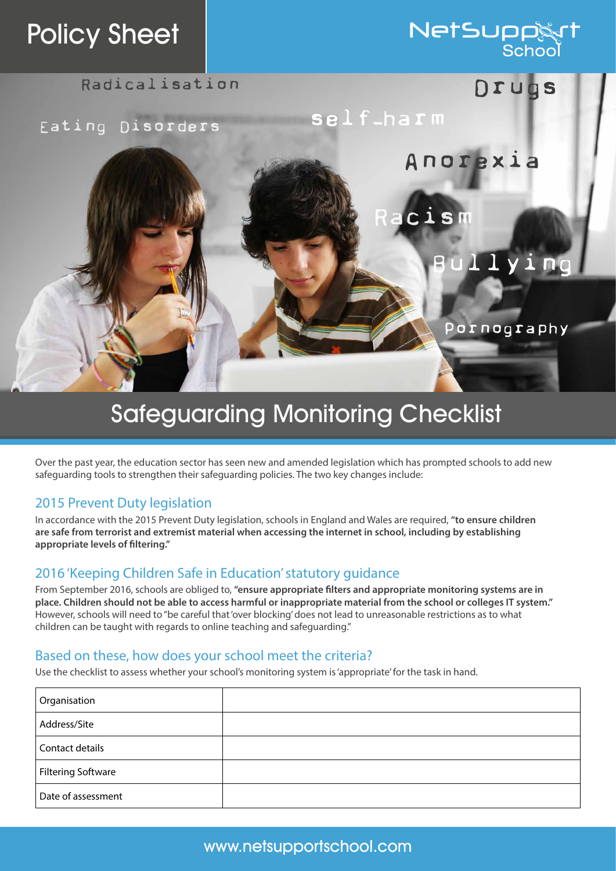## Policy Sheet

# **NetSupp**

Radicalisation DIUOS

Eating Disorders

Anorexia

Racism

self-harm

## Bullying

Pornography

### Safeguarding Monitoring Checklist

Over the past year, the education sector has seen new and amended legislation which has prompted schools to add new safeguarding tools to strengthen their safeguarding policies. The two key changes include:

#### 2015 Prevent Duty legislation

In accordance with the 2015 Prevent Duty legislation, schools in England and Wales are required, **"to ensure children are safe from terrorist and extremist material when accessing the internet in school, including by establishing appropriate levels of filtering."**

#### 2016 'Keeping Children Safe in Education' statutory guidance

From September 2016, schools are obliged to, **"ensure appropriate filters and appropriate monitoring systems are in place. Children should not be able to access harmful or inappropriate material from the school or colleges IT system."** However, schools will need to "be careful that 'over blocking' does not lead to unreasonable restrictions as to what children can be taught with regards to online teaching and safeguarding."

#### Based on these, how does your school meet the criteria?

Use the checklist to assess whether your school's monitoring system is 'appropriate' for the task in hand.

| Organisation              |  |
|---------------------------|--|
| Address/Site              |  |
| Contact details           |  |
| <b>Filtering Software</b> |  |
| Date of assessment        |  |